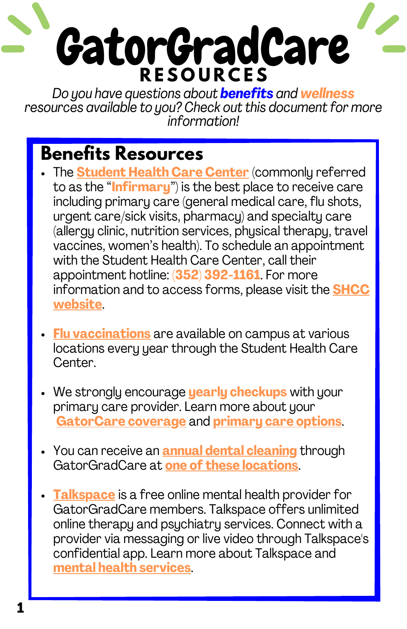*Do you have questions about benefits and wellness resources available to you? Check out this documentfor more information!*

### **Benefits Resources**

- The **[Student](https://shcc.ufl.edu/) Health Care Center** (commonly referred to as the "**Infirmary**") is the best place to receive care including primary care (general medical care, flu shots, urgent care/sick visits, pharmacy) and specialty care (allergy clinic, nutrition services, physical therapy, travel vaccines, women's health). To schedule an appointment with the Student Health Care Center, call their appointment hotline: **(352) 392-1161**. For more [information](https://shcc.ufl.edu/) and to access forms, please visit the **SHCC website**.
- **Flu [vaccinations](https://shcc.ufl.edu/services/primary-care/immunizations/vaccines/)** are available on campus at various locations every year through the Student Health Care Center.
- We strongly encourage **yearly checkups** with your primary care provider. Learn more about your **[GatorCare](https://gatorcare.org/wordpress/files/2020/10/GatorGradCare-2021_2023-FINAL.pdf) coverage** and **[primary](https://gatorcare.org/network/) care options**.
- You can receive an **annual dental [cleaning](https://benefits.hr.ufl.edu/wp-content/uploads/sites/3/2018/05/GradDentalBenefits.pdf)** through GatorGradCare at **one of these [locations](https://benefits.hr.ufl.edu/wp-content/uploads/sites/3/2018/05/GradDentalBenefits.pdf)**.
- **[Talkspace](https://gatorcare.org/health-resources/mental-health-services/online-therapy/)** is a free online mental health provider for GatorGradCare members. Talkspace offers unlimited online therapy and psychiatry services. Connect with a provider via messaging or live video through Talkspace's confidential app. Learn more about Talkspace and **mental health [services](https://gatorcare.org/health-resources/mental-health-services/)**.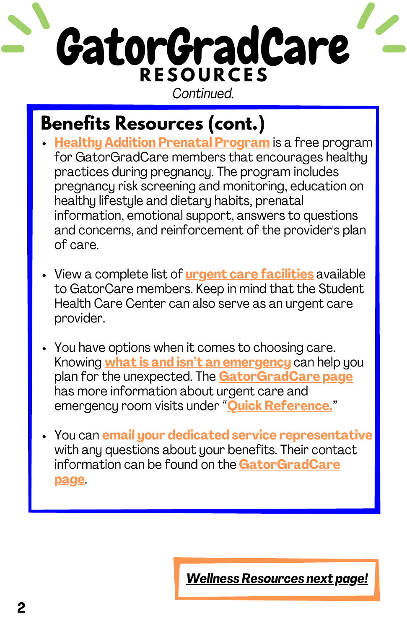*Continued.*

## **Benefits Resources (cont.)**

- **Healthy Addition Prenatal [Program](https://gatorcare.org/health-resources/pregnancy/)** is a free program for GatorGradCare members that encourages healthy practices during pregnancy. The program includes pregnancy risk screening and monitoring, education on healthy lifestyle and dietary habits, prenatal information, emotional support, answers to questions and concerns, and reinforcement of the provider's plan of care.
- View a complete list of **urgent care [facilities](https://gatorcare.org/wordpress/files/2021/10/Statewide-UCC-Updated-1-1-2022.pdf)** available to GatorCare members. Keep in mind that the Student Health Care Center can also serve as an urgent care provider.
- You have options when it comes to choosing care. Knowing **what is and isn't an [emergency](https://ufh-gatorcare.sites.medinfo.ufl.edu/files/2017/08/137238-GatorCare_Where_to_Go_When_You_Need_Care_Flyer_GatorGradCare_FINAL.pdf)** can help you plan for the unexpected. The **[GatorGradCare](https://gatorcare.org/gatorgradcare) page** has more information about urgent care and emergency room visits under "**Quick [Reference.](https://gatorcare.org/gatorgradcare/#quick)**"
- You can **email your dedicated service [representative](mailto:GatorCareCSR@bcbsfl.com)** with any questions about your benefits. Their contact information can be found on the **[GatorGradCare](https://gatorcare.org/gatorgradcare) page**.

*Wellness [Resources](#page-2-0) next page!*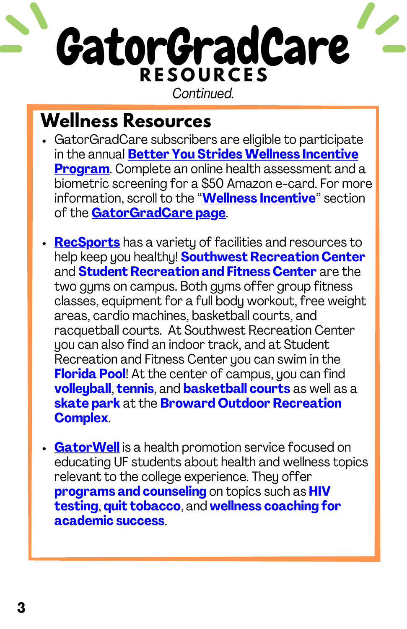*Continued.*

#### <span id="page-2-0"></span>**Wellness Resources**

- GatorGradCare subscribers are eligible to participate in the annual **Better You Strides Wellness Incentive Program**. Complete an online health [assessment](https://gatorcare.org/gatorgradcare/#incentive) and a biometric screening for a \$50 Amazon e-card. For more information, scroll to the "**Wellness [Incentive](https://gatorcare.org/gatorgradcare/#incentive)**" section of the **[GatorGradCare](https://gatorcare.org/gatorgradcare) page**.
- **[RecSports](https://recsports.ufl.edu/)** has a variety of facilities and resources to help keep you healthy! **Southwest Recreation Center** and **Student Recreation and Fitness Center** are the two gyms on campus. Both gyms offer group fitness classes, equipment for a full body workout, free weight areas, cardio machines, basketball courts, and racquetball courts. At Southwest Recreation Center you can also find an indoor track, and at Student Recreation and Fitness Center you can swim in the **Florida Pool**! At the center of campus, you can find **volleyball**, **tennis**, and **basketball courts** as well as a **skate park** at the **Broward Outdoor Recreation Complex**.
- **[GatorWell](https://gatorwell.ufsa.ufl.edu/)** is a health promotion service focused on educating UF students about health and wellness topics relevant to the college experience. They offer **programs and counseling** on topics such as **HIV testing**, **quit tobacco**, and **wellness coaching for academic success**.